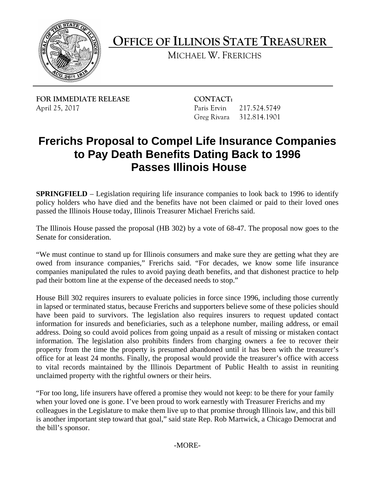

**OFFICE OF ILLINOIS STATE TREASURER** 

MICHAEL W. FRERICHS

**FOR IMMEDIATE RELEASE CONTACT:** April 25, 2017 **Paris Ervin** 217.524.5749

Greg Rivara 312.814.1901

## **Frerichs Proposal to Compel Life Insurance Companies to Pay Death Benefits Dating Back to 1996 Passes Illinois House**

**SPRINGFIELD** – Legislation requiring life insurance companies to look back to 1996 to identify policy holders who have died and the benefits have not been claimed or paid to their loved ones passed the Illinois House today, Illinois Treasurer Michael Frerichs said.

The Illinois House passed the proposal (HB 302) by a vote of 68-47. The proposal now goes to the Senate for consideration.

"We must continue to stand up for Illinois consumers and make sure they are getting what they are owed from insurance companies," Frerichs said. "For decades, we know some life insurance companies manipulated the rules to avoid paying death benefits, and that dishonest practice to help pad their bottom line at the expense of the deceased needs to stop."

 information. The legislation also prohibits finders from charging owners a fee to recover their office for at least 24 months. Finally, the proposal would provide the treasurer's office with access House Bill 302 requires insurers to evaluate policies in force since 1996, including those currently in lapsed or terminated status, because Frerichs and supporters believe some of these policies should have been paid to survivors. The legislation also requires insurers to request updated contact information for insureds and beneficiaries, such as a telephone number, mailing address, or email address. Doing so could avoid polices from going unpaid as a result of missing or mistaken contact property from the time the property is presumed abandoned until it has been with the treasurer's to vital records maintained by the Illinois Department of Public Health to assist in reuniting unclaimed property with the rightful owners or their heirs.

"For too long, life insurers have offered a promise they would not keep: to be there for your family when your loved one is gone. I've been proud to work earnestly with Treasurer Frerichs and my colleagues in the Legislature to make them live up to that promise through Illinois law, and this bill is another important step toward that goal," said state Rep. Rob Martwick, a Chicago Democrat and the bill's sponsor.

-MORE